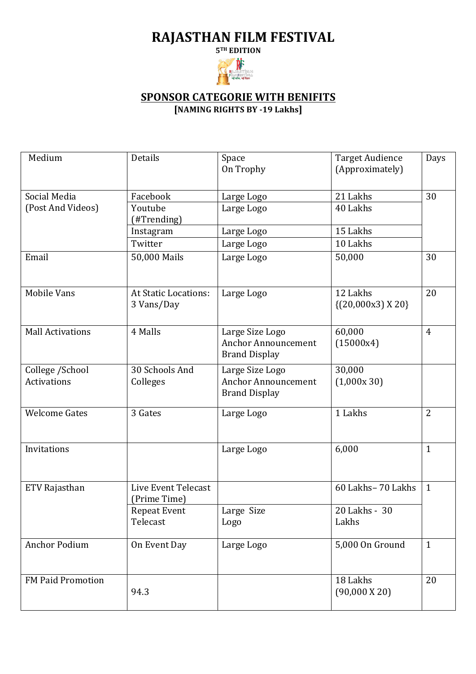## **RAJASTHAN FILM FESTIVAL**

**5TH EDITION**



## **SPONSOR CATEGORIE WITH BENIFITS [NAMING RIGHTS BY -19 Lakhs]**

| Medium                                 | Details                                   | Space<br>On Trophy                                                    | <b>Target Audience</b><br>(Approximately) | Days           |
|----------------------------------------|-------------------------------------------|-----------------------------------------------------------------------|-------------------------------------------|----------------|
| Social Media<br>(Post And Videos)      | Facebook<br>Youtube                       | Large Logo<br>Large Logo                                              | 21 Lakhs<br>40 Lakhs                      | 30             |
|                                        | (#Trending)                               |                                                                       |                                           |                |
|                                        | Instagram                                 | Large Logo                                                            | 15 Lakhs                                  |                |
|                                        | Twitter                                   | Large Logo                                                            | 10 Lakhs                                  |                |
| Email                                  | 50,000 Mails                              | Large Logo                                                            | 50,000                                    | 30             |
| <b>Mobile Vans</b>                     | <b>At Static Locations:</b><br>3 Vans/Day | Large Logo                                                            | 12 Lakhs<br>$\{(20,000x3)X20\}$           | 20             |
| <b>Mall Activations</b>                | 4 Malls                                   | Large Size Logo<br><b>Anchor Announcement</b><br><b>Brand Display</b> | 60,000<br>(15000x4)                       | $\overline{4}$ |
| College / School<br><b>Activations</b> | 30 Schools And<br>Colleges                | Large Size Logo<br><b>Anchor Announcement</b><br><b>Brand Display</b> | 30,000<br>(1,000x30)                      |                |
| <b>Welcome Gates</b>                   | 3 Gates                                   | Large Logo                                                            | 1 Lakhs                                   | $\overline{2}$ |
| Invitations                            |                                           | Large Logo                                                            | 6,000                                     | $\mathbf{1}$   |
| ETV Rajasthan                          | Live Event Telecast<br>(Prime Time)       |                                                                       | 60 Lakhs-70 Lakhs                         | $\mathbf{1}$   |
|                                        | Repeat Event<br>Telecast                  | Large Size<br>Logo                                                    | 20 Lakhs - 30<br>Lakhs                    |                |
| <b>Anchor Podium</b>                   | On Event Day                              | Large Logo                                                            | 5,000 On Ground                           | $\mathbf{1}$   |
| <b>FM Paid Promotion</b>               | 94.3                                      |                                                                       | 18 Lakhs<br>$(90,000 \text{ X } 20)$      | 20             |